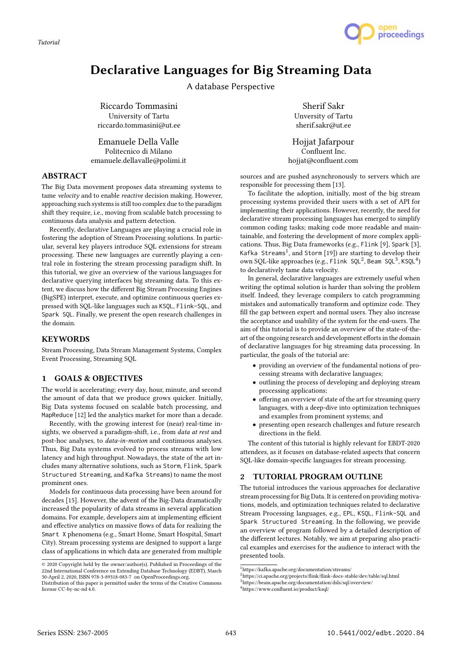*Tutorial*



# Declarative Languages for Big Streaming Data

A database Perspective

Riccardo Tommasini University of Tartu riccardo.tommasini@ut.ee

Emanuele Della Valle Politecnico di Milano emanuele.dellavalle@polimi.it

# ABSTRACT

The Big Data movement proposes data streaming systems to tame velocity and to enable reactive decision making. However, approaching such systems is still too complex due to the paradigm shift they require, i.e., moving from scalable batch processing to continuous data analysis and pattern detection.

Recently, declarative Languages are playing a crucial role in fostering the adoption of Stream Processing solutions. In particular, several key players introduce SQL extensions for stream processing. These new languages are currently playing a central role in fostering the stream processing paradigm shift. In this tutorial, we give an overview of the various languages for declarative querying interfaces big streaming data. To this extent, we discuss how the different Big Stream Processing Engines (BigSPE) interpret, execute, and optimize continuous queries expressed with SQL-like languages such as KSQL, Flink-SQL, and Spark SQL. Finally, we present the open research challenges in the domain.

# **KEYWORDS**

Stream Processing, Data Stream Management Systems, Complex Event Processing, Streaming SQL

# 1 GOALS & OBJECTIVES

The world is accelerating; every day, hour, minute, and second the amount of data that we produce grows quicker. Initially, Big Data systems focused on scalable batch processing, and MapReduce [12] led the analytics market for more than a decade.

Recently, with the growing interest for (near) real-time insights, we observed a paradigm-shift, i.e., from data at rest and post-hoc analyses, to data-in-motion and continuous analyses. Thus, Big Data systems evolved to process streams with low latency and high throughput. Nowadays, the state of the art includes many alternative solutions, such as Storm, Flink, Spark Structured Streaming, and Kafka Streams) to name the most prominent ones.

Models for continuous data processing have been around for decades [15]. However, the advent of the Big-Data dramatically increased the popularity of data streams in several application domains. For example, developers aim at implementing efficient and effective analytics on massive flows of data for realizing the Smart X phenomena (e.g., Smart Home, Smart Hospital, Smart City). Stream processing systems are designed to support a large class of applications in which data are generated from multiple

Sherif Sakr Unversity of Tartu sherif.sakr@ut.ee

Hojjat Jafarpour Confluent Inc. hojjat@confluent.com

sources and are pushed asynchronously to servers which are responsible for processing them [13].

To facilitate the adoption, initially, most of the big stream processing systems provided their users with a set of API for implementing their applications. However, recently, the need for declarative stream processing languages has emerged to simplify common coding tasks; making code more readable and maintainable, and fostering the development of more complex applications. Thus, Big Data frameworks (e.g., Flink [9], Spark [3], Kafka Streams<sup>1</sup>, and Storm [19]) are starting to develop their own SQL-like approaches (e.g., Flink SQL<sup>2</sup>, Beam SQL<sup>3</sup>, KSQL<sup>4</sup>) to declaratively tame data velocity.

In general, declarative languages are extremely useful when writing the optimal solution is harder than solving the problem itself. Indeed, they leverage compilers to catch programming mistakes and automatically transform and optimize code. They fill the gap between expert and normal users. They also increase the acceptance and usability of the system for the end-users. The aim of this tutorial is to provide an overview of the state-of-theart of the ongoing research and development efforts in the domain of declarative languages for big streaming data processing. In particular, the goals of the tutorial are:

- providing an overview of the fundamental notions of processing streams with declarative languages;
- outlining the process of developing and deploying stream processing applications;
- offering an overview of state of the art for streaming query languages, with a deep-dive into optimization techniques and examples from prominent systems; and
- presenting open research challenges and future research directions in the field.

The content of this tutorial is highly relevant for EBDT-2020 attendees, as it focuses on database-related aspects that concern SQL-like domain-specific languages for stream processing.

# 2 TUTORIAL PROGRAM OUTLINE

The tutorial introduces the various approaches for declarative stream processing for Big Data. It is centered on providing motivations, models, and optimization techniques related to declarative Stream Processing languages, e.g., EPL, KSQL, Flink-SQL and Spark Structured Streaming. In the following, we provide an overview of program followed by a detailed description of the different lectures. Notably, we aim at preparing also practical examples and exercises for the audience to interact with the presented tools.

<sup>©</sup> 2020 Copyright held by the owner/author(s). Published in Proceedings of the 22nd International Conference on Extending Database Technology (EDBT), March 30-April 2, 2020, ISBN 978-3-89318-083-7 on OpenProceedings.org.

Distribution of this paper is permitted under the terms of the Creative Commons license CC-by-nc-nd 4.0.

 $^1$ https://kafka.apache.org/documentation/streams/

 $2$ https://ci.apache.org/projects/flink/flink-docs-stable/dev/table/sql.html

<sup>3</sup>https://beam.apache.org/documentation/dsls/sql/overview/

<sup>4</sup>https://www.confluent.io/product/ksql/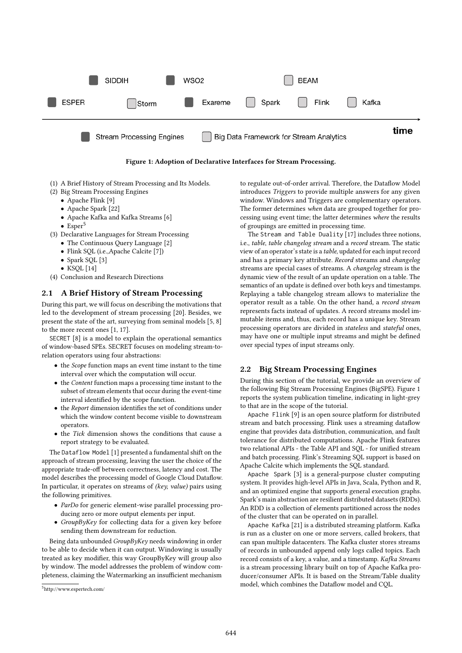



- (1) A Brief History of Stream Processing and Its Models.
- (2) Big Stream Processing Engines
	- Apache Flink [9]
	- Apache Spark [22]
	- Apache Kafka and Kafka Streams [6]
	- $\bullet$  Esper<sup>5</sup>
- (3) Declarative Languages for Stream Processing
	- The Continuous Query Language [2]
	- Flink SQL (i.e.,Apache Calcite [7])
	- Spark SQL [3]
	- $\bullet$  KSOL [14]
- (4) Conclusion and Research Directions

#### 2.1 A Brief History of Stream Processing

During this part, we will focus on describing the motivations that led to the development of stream processing [20]. Besides, we present the state of the art, surveying from seminal models [5, 8] to the more recent ones [1, 17].

SECRET [8] is a model to explain the operational semantics of window-based SPEs. SECRET focuses on modeling stream-torelation operators using four abstractions:

- the Scope function maps an event time instant to the time interval over which the computation will occur.
- the Content function maps a processing time instant to the subset of stream elements that occur during the event-time interval identified by the scope function.
- the Report dimension identifies the set of conditions under which the window content become visible to downstream operators.
- the Tick dimension shows the conditions that cause a report strategy to be evaluated.

The Dataflow Model [1] presented a fundamental shift on the approach of stream processing, leaving the user the choice of the appropriate trade-off between correctness, latency and cost. The model describes the processing model of Google Cloud Dataflow. In particular, it operates on streams of (key, value) pairs using the following primitives.

- ParDo for generic element-wise parallel processing producing zero or more output elements per input.
- GroupByKey for collecting data for a given key before sending them downstream for reduction.

Being data unbounded GroupByKey needs windowing in order to be able to decide when it can output. Windowing is usually treated as key modifier, this way GroupByKey will group also by window. The model addresses the problem of window completeness, claiming the Watermarking an insufficient mechanism

to regulate out-of-order arrival. Therefore, the Dataflow Model introduces Triggers to provide multiple answers for any given window. Windows and Triggers are complementary operators. The former determines when data are grouped together for processing using event time; the latter determines where the results of groupings are emitted in processing time.

The Stream and Table Duality [17] includes three notions, i.e., table, table changelog stream and a record stream. The static view of an operator's state is a table, updated for each input record and has a primary key attribute. Record streams and changelog streams are special cases of streams. A changelog stream is the dynamic view of the result of an update operation on a table. The semantics of an update is defined over both keys and timestamps. Replaying a table changelog stream allows to materialize the operator result as a table. On the other hand, a record stream represents facts instead of updates. A record streams model immutable items and, thus, each record has a unique key. Stream processing operators are divided in stateless and stateful ones, may have one or multiple input streams and might be defined over special types of input streams only.

# 2.2 Big Stream Processing Engines

During this section of the tutorial, we provide an overview of the following Big Stream Processing Engines (BigSPE). Figure 1 reports the system publication timeline, indicating in light-grey to that are in the scope of the tutorial.

Apache Flink [9] is an open source platform for distributed stream and batch processing. Flink uses a streaming dataflow engine that provides data distribution, communication, and fault tolerance for distributed computations. Apache Flink features two relational APIs - the Table API and SQL - for unified stream and batch processing. Flink's Streaming SQL support is based on Apache Calcite which implements the SQL standard.

Apache Spark [3] is a general-purpose cluster computing system. It provides high-level APIs in Java, Scala, Python and R, and an optimized engine that supports general execution graphs. Spark's main abstraction are resilient distributed datasets (RDDs). An RDD is a collection of elements partitioned across the nodes of the cluster that can be operated on in parallel.

Apache Kafka [21] is a distributed streaming platform. Kafka is run as a cluster on one or more servers, called brokers, that can span multiple datacenters. The Kafka cluster stores streams of records in unbounded append only logs called topics. Each record consists of a key, a value, and a timestamp. Kafka Streams is a stream processing library built on top of Apache Kafka producer/consumer APIs. It is based on the Stream/Table duality model, which combines the Dataflow model and CQL.

<sup>5</sup>http://www.espertech.com/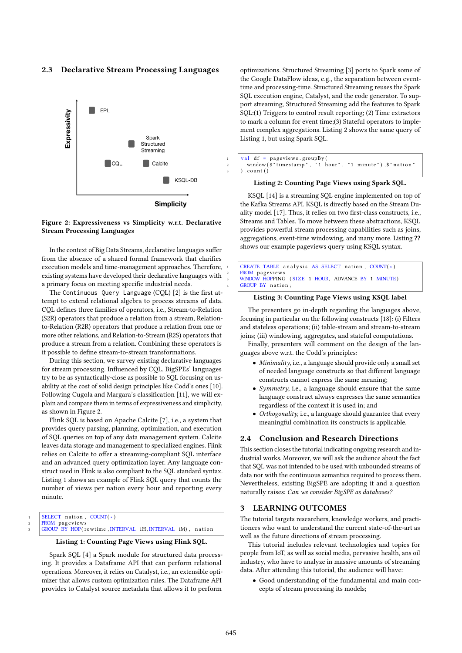## 2.3 Declarative Stream Processing Languages



#### Figure 2: Expressiveness vs Simplicity w.r.t. Declarative Stream Processing Languages

In the context of Big Data Streams, declarative languages suffer from the absence of a shared formal framework that clarifies execution models and time-management approaches. Therefore, existing systems have developed their declarative languages with a primary focus on meeting specific industrial needs.

The Continuous Query Language (CQL) [2] is the first attempt to extend relational algebra to process streams of data. CQL defines three families of operators, i.e., Stream-to-Relation (S2R) operators that produce a relation from a stream, Relationto-Relation (R2R) operators that produce a relation from one or more other relations, and Relation-to-Stream (R2S) operators that produce a stream from a relation. Combining these operators is it possible to define stream-to-stream transformations.

During this section, we survey existing declarative languages for stream processing. Influenced by CQL, BigSPEs' languages try to be as syntactically-close as possible to SQL focusing on usability at the cost of solid design principles like Codd's ones [10]. Following Cugola and Margara's classification [11], we will explain and compare them in terms of expressiveness and simplicity, as shown in Figure 2.

Flink SQL is based on Apache Calcite [7], i.e., a system that provides query parsing, planning, optimization, and execution of SQL queries on top of any data management system. Calcite leaves data storage and management to specialized engines. Flink relies on Calcite to offer a streaming-compliant SQL interface and an advanced query optimization layer. Any language construct used in Flink is also compliant to the SQL standard syntax. Listing 1 shows an example of Flink SQL query that counts the number of views per nation every hour and reporting every minute.

 $SELECT$  nation,  $COUNT(*)$ 

z | FROM pageviews<br>3 | GROUP BY HOP(rowtime, INTERVAL 1H, INTERVAL 1M), nation

# Listing 1: Counting Page Views using Flink SQL.

Spark SQL [4] a Spark module for structured data processing. It provides a Dataframe API that can perform relational operations. Moreover, it relies on Catalyst, i.e., an extensible optimizer that allows custom optimization rules. The Dataframe API provides to Catalyst source metadata that allows it to perform

optimizations. Structured Streaming [3] ports to Spark some of the Google DataFlow ideas, e.g., the separation between eventtime and processing-time. Structured Streaming reuses the Spark SQL execution engine, Catalyst, and the code generator. To support streaming, Structured Streaming add the features to Spark SQL:(1) Triggers to control result reporting; (2) Time extractors to mark a column for event time;(3) Stateful operators to implement complex aggregations. Listing 2 shows the same query of Listing 1, but using Spark SQL.

| $1$   val df = pageviews.groupBy(                           |
|-------------------------------------------------------------|
| 2   window(\$"timestamp", "1 hour", "1 minute"), \$"nation" |
| 3   ).count()                                               |

#### Listing 2: Counting Page Views using Spark SQL.

KSQL [14] is a streaming SQL engine implemented on top of the Kafka Streams API. KSQL is directly based on the Stream Duality model [17]. Thus, it relies on two first-class constructs, i.e., Streams and Tables. To move between these abstractions, KSQL provides powerful stream processing capabilities such as joins, aggregations, event-time windowing, and many more. Listing ?? shows our example pageviews query using KSQL syntax.

| $ $ CREATE TABLE analysis AS SELECT nation, COUNT $(*)$ |
|---------------------------------------------------------|
| 2 FROM pageviews                                        |
| 3   WINDOW HOPPING (SIZE 1 HOUR, ADVANCE BY 1 MINUTE)   |
| 4 GROUP BY nation;                                      |

#### Listing 3: Counting Page Views using KSQL label

The presenters go in-depth regarding the languages above, focusing in particular on the following constructs [18]: (i) Filters and stateless operations; (ii) table-stream and stream-to-stream joins; (iii) windowing, aggregates, and stateful computations.

Finally, presenters will comment on the design of the languages above w.r.t. the Codd's principles:

- Minimality, i.e., a language should provide only a small set of needed language constructs so that different language constructs cannot express the same meaning;
- Symmetry, i.e., a language should ensure that the same language construct always expresses the same semantics regardless of the context it is used in; and
- Orthogonality, i.e., a language should guarantee that every meaningful combination its constructs is applicable.

#### 2.4 Conclusion and Research Directions

This section closes the tutorial indicating ongoing research and industrial works. Moreover, we will ask the audience about the fact that SQL was not intended to be used with unbounded streams of data nor with the continuous semantics required to process them. Nevertheless, existing BigSPE are adopting it and a question naturally raises: Can we consider BigSPE as databases?

## 3 LEARNING OUTCOMES

The tutorial targets researchers, knowledge workers, and practitioners who want to understand the current state-of-the-art as well as the future directions of stream processing.

This tutorial includes relevant technologies and topics for people from IoT, as well as social media, pervasive health, ans oil industry, who have to analyze in massive amounts of streaming data. After attending this tutorial, the audience will have:

• Good understanding of the fundamental and main concepts of stream processing its models;